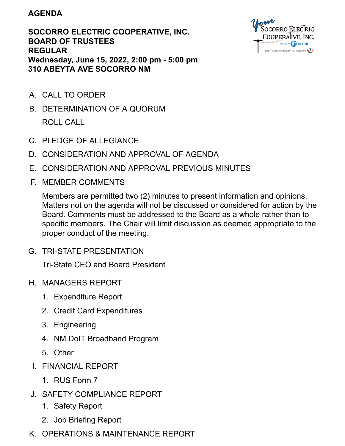## **AGENDA**

**SOCORRO ELECTRIC COOPERATIVE, INC. BOARD OF TRUSTEES REGULAR Wednesday, June 15, 2022, 2:00 pm - 5:00 pm 310 ABEYTA AVE SOCORRO NM**



- A. CALL TO ORDER
- B. DETERMINATION OF A QUORUM ROLL CALL
- C. PLEDGE OF ALLEGIANCE
- D. CONSIDERATION AND APPROVAL OF AGENDA
- E. CONSIDERATION AND APPROVAL PREVIOUS MINUTES
- F. MEMBER COMMENTS

Members are permitted two (2) minutes to present information and opinions. Matters not on the agenda will not be discussed or considered for action by the Board. Comments must be addressed to the Board as a whole rather than to specific members. The Chair will limit discussion as deemed appropriate to the proper conduct of the meeting.

G. TRI-STATE PRESENTATION

Tri-State CEO and Board President

- H. MANAGERS REPORT
	- 1. Expenditure Report
	- 2. Credit Card Expenditures
	- 3. Engineering
	- 4. NM DoIT Broadband Program
	- 5. Other
- I. FINANCIAL REPORT
	- 1. RUS Form 7
- J. SAFETY COMPLIANCE REPORT
	- 1. Safety Report
	- 2. Job Briefing Report
- K. OPERATIONS & MAINTENANCE REPORT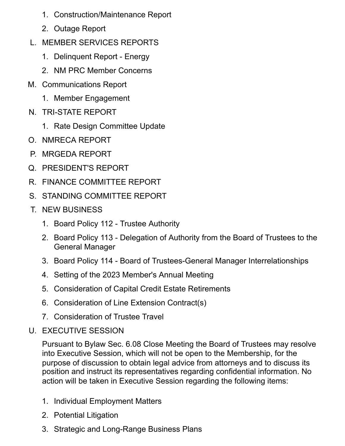- 1. Construction/Maintenance Report
- 2. Outage Report
- L. MEMBER SERVICES REPORTS
	- 1. Delinquent Report Energy
	- 2. NM PRC Member Concerns
- M. Communications Report
	- 1. Member Engagement
- N. TRI-STATE REPORT
	- 1. Rate Design Committee Update
- O. NMRECA REPORT
- P. MRGEDA REPORT
- Q. PRESIDENT'S REPORT
- R. FINANCE COMMITTEE REPORT
- S. STANDING COMMITTEE REPORT
- T. NEW BUSINESS
	- 1. Board Policy 112 Trustee Authority
	- 2. Board Policy 113 Delegation of Authority from the Board of Trustees to the General Manager
	- 3. Board Policy 114 Board of Trustees-General Manager Interrelationships
	- 4. Setting of the 2023 Member's Annual Meeting
	- 5. Consideration of Capital Credit Estate Retirements
	- 6. Consideration of Line Extension Contract(s)
	- 7. Consideration of Trustee Travel
- U. EXECUTIVE SESSION

Pursuant to Bylaw Sec. 6.08 Close Meeting the Board of Trustees may resolve into Executive Session, which will not be open to the Membership, for the purpose of discussion to obtain legal advice from attorneys and to discuss its position and instruct its representatives regarding confidential information. No action will be taken in Executive Session regarding the following items:

- 1. Individual Employment Matters
- 2. Potential Litigation
- 3. Strategic and Long-Range Business Plans